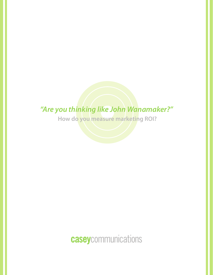## *"Are you thinking like John Wanamaker?"*

**How do you measure marketing ROI?**

# caseycommunications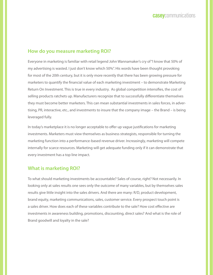## **How do you measure marketing ROI?**

Everyone in marketing is familiar with retail legend John Wannamaker's cry of "I know that 50% of my advertising is wasted. I just don't know which 50%". His words have been thought provoking for most of the 20th century, but it is only more recently that there has been growing pressure for marketers to quantify the financial value of each marketing investment – to demonstrate Marketing Return On Investment. This is true in every industry. As global competition intensifies, the cost of selling products ratchets up. Manufacturers recognize that to successfully differentiate themselves they must become better marketers. This can mean substantial investments in sales forces, in advertising, PR, interactive, etc., and investments to insure that the company image – the Brand – is being leveraged fully.

In today's marketplace it is no longer acceptable to offer up vague justifications for marketing investments. Marketers must view themselves as business strategists, responsible for turning the marketing function into a performance-based revenue driver. Increasingly, marketing will compete internally for scarce resources. Marketing will get adequate funding only if it can demonstrate that every investment has a top line impact.

## **What is marketing ROI?**

To what should marketing investments be accountable? Sales of course, right? Not necessarily. In looking only at sales results one sees only the outcome of many variables, but by themselves sales results give little insight into the sales drivers. And there are many: R/D, product development, brand equity, marketing communications, sales, customer service. Every prospect touch point is a sales driver. How does each of these variables contribute to the sale? How cost effective are investments in awareness building, promotions, discounting, direct sales? And what is the role of Brand goodwill and loyalty in the sale?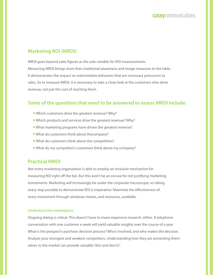## **Marketing ROI (MROI)**

MROI goes beyond sales figures as the sole variable for ROI measurements. Measuring MROI brings more than traditional awareness and image measures to the table. It demonstrates the impact on intermediate behaviors that are necessary precursors to sales. So to measure MROI, it is necessary to take a close look at the customers who drive revenue, not just the cost of reaching them.

## **Some of the questions that need to be answered to assess MROI include:**

- Which customers drive the greatest revenue? Why?
- Which products and services drive the greatest revenue? Why?
- What marketing programs have driven the greatest revenue?
- What do customers think about thecompany?
- What do customers think about the competition?
- What do my competitor's customers think about my company?

### **Practical MROI**

Not every marketing organization is able to employ an inclusive mechanism for measuring ROI right off the bat. But this won't be an excuse for not justifying marketing investments. Marketing will increasingly be under the corporate microscope; so taking every step possible to demonstrate ROI is imperative. Maximize the effectiveness of every investment through whatever means, and resources, available.

#### *Understand the marketplace*

Ongoing dialog is critical. This doesn't have to mean expensive research, either. A telephone conversation with one customer a week will yield valuable insights over the course of a year. What is the prospect's purchase decision process? Who's involved, and who makes the decision. Analyze your strongest and weakest competitors. Understanding how they are presenting themselves to the market can provide valuable "do's and don'ts".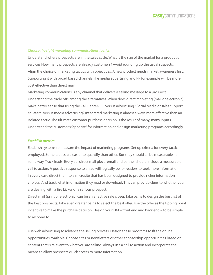#### *Choose the right marketing communications tactics*

Understand where prospects are in the sales cycle. What is the size of the market for a product or service? How many prospects are already customers? Avoid rounding up the usual suspects. Align the choice of marketing tactics with objectives. A new product needs market awareness first. Supporting it with broad based channels like media advertising and PR for example will be more cost effective than direct mail.

Marketing communications is any channel that delivers a selling message to a prospect. Understand the trade offs among the alternatives. When does direct marketing (mail or electronic) make better sense that using the Call Center? PR versus advertising? Social Media or sales support collateral versus media advertising? Integrated marketing is almost always more effective than an isolated tactic. The ultimate customer purchase decision is the result of many, many inputs. Understand the customer's "appetite" for information and design marketing programs accordingly.

#### *Establish metrics*

Establish systems to measure the impact of marketing programs. Set up criteria for every tactic employed. Some tactics are easier to quantify than other. But they should all be measurable in some way. Track leads. Every ad, direct mail piece, email and banner should include a measurable call to action. A positive response to an ad will logically be for readers to seek more information. In every case direct them to a microsite that has been designed to provide richer information choices. And track what information they read or download. This can provide clues to whether you are dealing with a tire kicker or a serious prospect.

Direct mail (print or electronic) can be an effective sale closer. Take pains to design the best list of the best prospects. Take even greater pains to select the best offer. Use the offer as the tipping point incentive to make the purchase decision. Design your DM – front end and back end – to be simple to respond to.

Use web advertising to advance the selling process. Design these programs to fit the online opportunities available. Choose sites or newsletters or other sponsorship opportunities based on content that is relevant to what you are selling. Always use a call to action and incorporate the means to allow prospects quick access to more information.